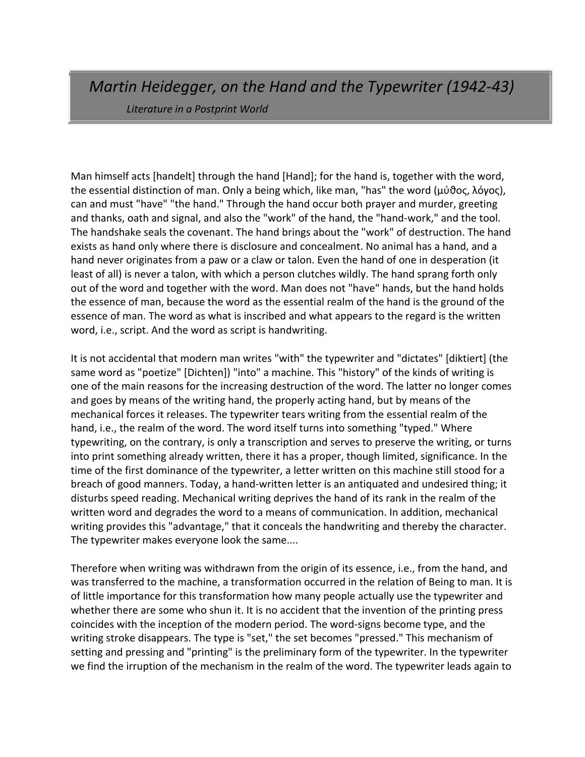## *Martin Heidegger, on the Hand and the Typewriter (1942-43)*

 *Literature in a Postprint World*

Man himself acts [handelt] through the hand [Hand]; for the hand is, together with the word, the essential distinction of man. Only a being which, like man, "has" the word (μύθος, λόγος), can and must "have" "the hand." Through the hand occur both prayer and murder, greeting and thanks, oath and signal, and also the "work" of the hand, the "hand-work," and the tool. The handshake seals the covenant. The hand brings about the "work" of destruction. The hand exists as hand only where there is disclosure and concealment. No animal has a hand, and a hand never originates from a paw or a claw or talon. Even the hand of one in desperation (it least of all) is never a talon, with which a person clutches wildly. The hand sprang forth only out of the word and together with the word. Man does not "have" hands, but the hand holds the essence of man, because the word as the essential realm of the hand is the ground of the essence of man. The word as what is inscribed and what appears to the regard is the written word, i.e., script. And the word as script is handwriting.

It is not accidental that modern man writes "with" the typewriter and "dictates" [diktiert] (the same word as "poetize" [Dichten]) "into" a machine. This "history" of the kinds of writing is one of the main reasons for the increasing destruction of the word. The latter no longer comes and goes by means of the writing hand, the properly acting hand, but by means of the mechanical forces it releases. The typewriter tears writing from the essential realm of the hand, i.e., the realm of the word. The word itself turns into something "typed." Where typewriting, on the contrary, is only a transcription and serves to preserve the writing, or turns into print something already written, there it has a proper, though limited, significance. In the time of the first dominance of the typewriter, a letter written on this machine still stood for a breach of good manners. Today, a hand-written letter is an antiquated and undesired thing; it disturbs speed reading. Mechanical writing deprives the hand of its rank in the realm of the written word and degrades the word to a means of communication. In addition, mechanical writing provides this "advantage," that it conceals the handwriting and thereby the character. The typewriter makes everyone look the same....

Therefore when writing was withdrawn from the origin of its essence, i.e., from the hand, and was transferred to the machine, a transformation occurred in the relation of Being to man. It is of little importance for this transformation how many people actually use the typewriter and whether there are some who shun it. It is no accident that the invention of the printing press coincides with the inception of the modern period. The word-signs become type, and the writing stroke disappears. The type is "set," the set becomes "pressed." This mechanism of setting and pressing and "printing" is the preliminary form of the typewriter. In the typewriter we find the irruption of the mechanism in the realm of the word. The typewriter leads again to